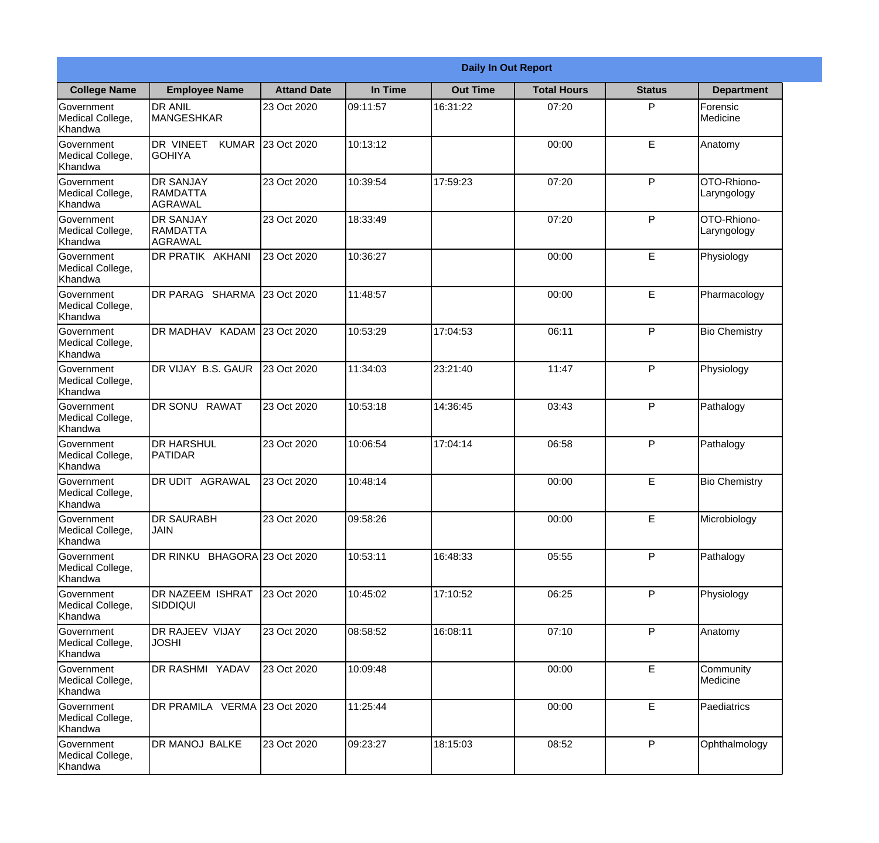|                                                  |                                                |                    |          | <b>Daily In Out Report</b> |                    |               |                            |
|--------------------------------------------------|------------------------------------------------|--------------------|----------|----------------------------|--------------------|---------------|----------------------------|
| <b>College Name</b>                              | <b>Employee Name</b>                           | <b>Attand Date</b> | In Time  | <b>Out Time</b>            | <b>Total Hours</b> | <b>Status</b> | <b>Department</b>          |
| Government<br>Medical College,<br>Khandwa        | <b>DR ANIL</b><br><b>MANGESHKAR</b>            | 23 Oct 2020        | 09:11:57 | 16:31:22                   | 07:20              | P             | Forensic<br>Medicine       |
| Government<br>Medical College,<br>Khandwa        | DR VINEET<br><b>GOHIYA</b>                     | KUMAR 23 Oct 2020  | 10:13:12 |                            | 00:00              | E             | Anatomy                    |
| <b>Government</b><br>Medical College,<br>Khandwa | <b>DR SANJAY</b><br>RAMDATTA<br>AGRAWAL        | 23 Oct 2020        | 10:39:54 | 17:59:23                   | 07:20              | P             | OTO-Rhiono-<br>Laryngology |
| <b>Government</b><br>Medical College,<br>Khandwa | <b>DR SANJAY</b><br>RAMDATTA<br><b>AGRAWAL</b> | 23 Oct 2020        | 18:33:49 |                            | 07:20              | P             | OTO-Rhiono-<br>Laryngology |
| Government<br>Medical College,<br>Khandwa        | <b>DR PRATIK AKHANI</b>                        | 23 Oct 2020        | 10:36:27 |                            | 00:00              | E             | Physiology                 |
| Government<br>Medical College,<br>Khandwa        | DR PARAG SHARMA                                | 23 Oct 2020        | 11:48:57 |                            | 00:00              | E             | Pharmacology               |
| <b>Government</b><br>Medical College,<br>Khandwa | DR MADHAV KADAM 23 Oct 2020                    |                    | 10:53:29 | 17:04:53                   | 06:11              | P             | <b>Bio Chemistry</b>       |
| <b>Government</b><br>Medical College,<br>Khandwa | DR VIJAY B.S. GAUR                             | 23 Oct 2020        | 11:34:03 | 23:21:40                   | 11:47              | P             | Physiology                 |
| Government<br>Medical College,<br>Khandwa        | DR SONU<br><b>RAWAT</b>                        | 23 Oct 2020        | 10:53:18 | 14:36:45                   | 03:43              | P             | Pathalogy                  |
| Government<br>Medical College,<br>Khandwa        | <b>DR HARSHUL</b><br>PATIDAR                   | 23 Oct 2020        | 10:06:54 | 17:04:14                   | 06:58              | P             | Pathalogy                  |
| Government<br>Medical College,<br>Khandwa        | IDR UDIT<br><b>AGRAWAL</b>                     | 23 Oct 2020        | 10:48:14 |                            | 00:00              | E             | <b>Bio Chemistry</b>       |
| Government<br>Medical College,<br>Khandwa        | <b>DR SAURABH</b><br><b>JAIN</b>               | 23 Oct 2020        | 09:58:26 |                            | 00:00              | E             | Microbiology               |
| Government<br>Medical College,<br>Khandwa        | DR RINKU BHAGORA 23 Oct 2020                   |                    | 10:53:11 | 16:48:33                   | 05:55              | P             | Pathalogy                  |
| Government<br>Medical College,<br>Khandwa        | DR NAZEEM ISHRAT<br>SIDDIQUI                   | 23 Oct 2020        | 10:45:02 | 17:10:52                   | 06:25              | P             | Physiology                 |
| Government<br>Medical College,<br>Khandwa        | <b>DR RAJEEV VIJAY</b><br><b>JOSHI</b>         | 23 Oct 2020        | 08:58:52 | 16:08:11                   | 07:10              | P             | Anatomy                    |
| Government<br>Medical College,<br>Khandwa        | DR RASHMI YADAV                                | 23 Oct 2020        | 10:09:48 |                            | 00:00              | E             | Community<br>Medicine      |
| Government<br>Medical College,<br>Khandwa        | DR PRAMILA VERMA 23 Oct 2020                   |                    | 11:25:44 |                            | 00:00              | E             | Paediatrics                |
| Government<br>Medical College,<br>Khandwa        | DR MANOJ BALKE                                 | 23 Oct 2020        | 09:23:27 | 18:15:03                   | 08:52              | P             | Ophthalmology              |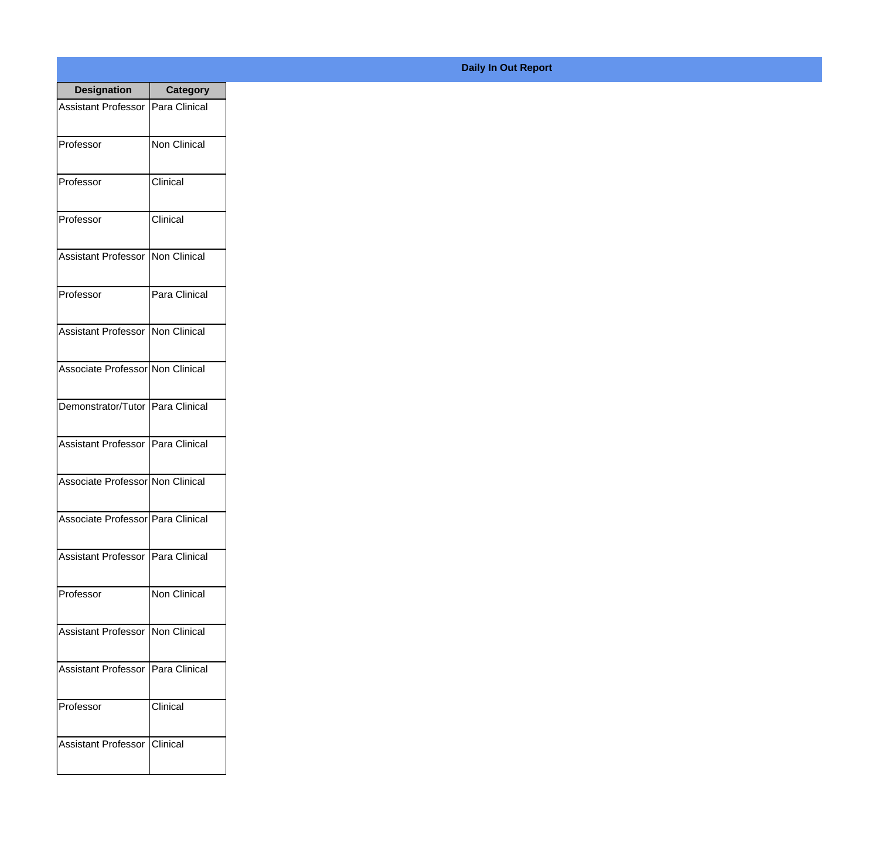| <b>Designation</b>                  | <b>Category</b>     |
|-------------------------------------|---------------------|
| Assistant Professor   Para Clinical |                     |
| Professor                           | <b>Non Clinical</b> |
| Professor                           | Clinical            |
| Professor                           | Clinical            |
| Assistant Professor   Non Clinical  |                     |
| Professor                           | Para Clinical       |
| Assistant Professor   Non Clinical  |                     |
| Associate Professor Non Clinical    |                     |
| Demonstrator/Tutor   Para Clinical  |                     |
| Assistant Professor   Para Clinical |                     |
| Associate Professor Non Clinical    |                     |
| Associate Professor Para Clinical   |                     |
| Assistant Professor   Para Clinical |                     |
| Professor                           | <b>Non Clinical</b> |
| Assistant Professor   Non Clinical  |                     |
| <b>Assistant Professor</b>          | Para Clinical       |
| Professor                           | Clinical            |
| Assistant Professor                 | <b>Clinical</b>     |

## **Daily In Out Report**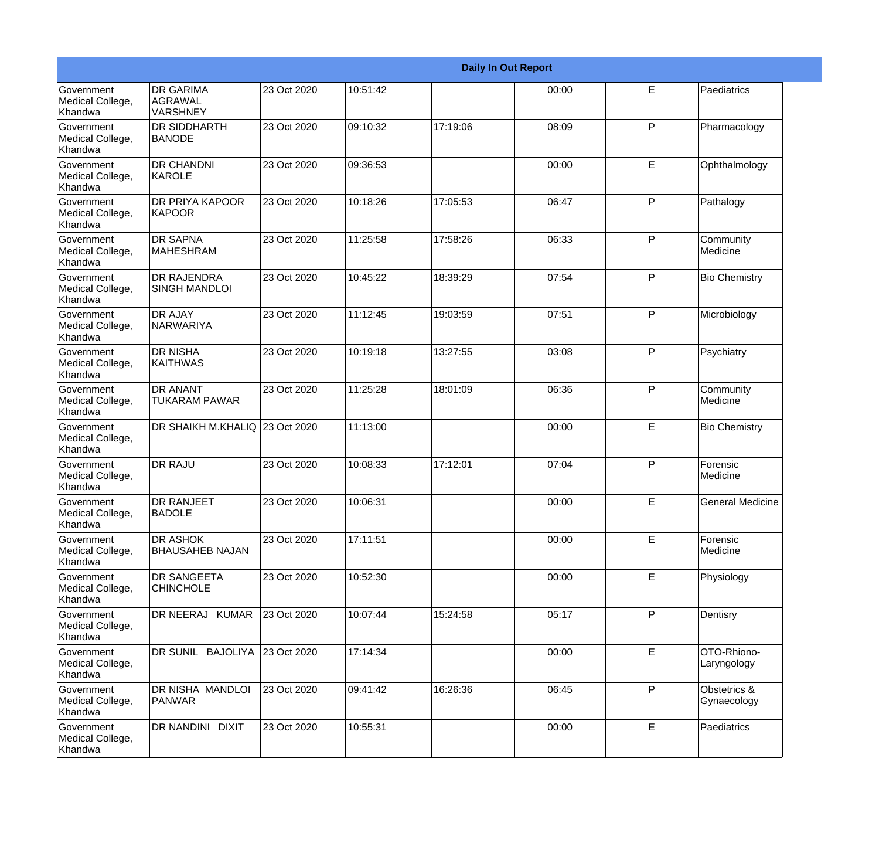|                                                  |                                            |             |          |          | <b>Daily In Out Report</b> |   |                             |
|--------------------------------------------------|--------------------------------------------|-------------|----------|----------|----------------------------|---|-----------------------------|
| <b>Government</b><br>Medical College,<br>Khandwa | <b>DR GARIMA</b><br>AGRAWAL<br>VARSHNEY    | 23 Oct 2020 | 10:51:42 |          | 00:00                      | E | Paediatrics                 |
| Government<br>Medical College,<br>Khandwa        | <b>DR SIDDHARTH</b><br><b>BANODE</b>       | 23 Oct 2020 | 09:10:32 | 17:19:06 | 08:09                      | P | Pharmacology                |
| Government<br>Medical College,<br>Khandwa        | <b>DR CHANDNI</b><br>KAROLE                | 23 Oct 2020 | 09:36:53 |          | 00:00                      | E | Ophthalmology               |
| Government<br>Medical College,<br>Khandwa        | <b>DR PRIYA KAPOOR</b><br>KAPOOR           | 23 Oct 2020 | 10:18:26 | 17:05:53 | 06:47                      | P | Pathalogy                   |
| <b>Government</b><br>Medical College,<br>Khandwa | <b>DR SAPNA</b><br><b>MAHESHRAM</b>        | 23 Oct 2020 | 11:25:58 | 17:58:26 | 06:33                      | P | Community<br>Medicine       |
| Government<br>Medical College,<br>Khandwa        | <b>DR RAJENDRA</b><br><b>SINGH MANDLOI</b> | 23 Oct 2020 | 10:45:22 | 18:39:29 | 07:54                      | P | <b>Bio Chemistry</b>        |
| <b>Government</b><br>Medical College,<br>Khandwa | <b>DR AJAY</b><br><b>NARWARIYA</b>         | 23 Oct 2020 | 11:12:45 | 19:03:59 | 07:51                      | P | Microbiology                |
| Government<br>Medical College,<br>Khandwa        | <b>DR NISHA</b><br><b>KAITHWAS</b>         | 23 Oct 2020 | 10:19:18 | 13:27:55 | 03:08                      | P | Psychiatry                  |
| <b>Government</b><br>Medical College,<br>Khandwa | <b>DR ANANT</b><br><b>TUKARAM PAWAR</b>    | 23 Oct 2020 | 11:25:28 | 18:01:09 | 06:36                      | P | Community<br>Medicine       |
| Government<br>Medical College,<br>Khandwa        | DR SHAIKH M.KHALIQ 23 Oct 2020             |             | 11:13:00 |          | 00:00                      | E | <b>Bio Chemistry</b>        |
| Government<br>Medical College,<br>Khandwa        | <b>DR RAJU</b>                             | 23 Oct 2020 | 10:08:33 | 17:12:01 | 07:04                      | P | Forensic<br><b>Medicine</b> |
| Government<br>Medical College,<br>Khandwa        | <b>DR RANJEET</b><br><b>BADOLE</b>         | 23 Oct 2020 | 10:06:31 |          | 00:00                      | E | General Medicine            |
| Government<br>Medical College,<br>Khandwa        | <b>DR ASHOK</b><br><b>BHAUSAHEB NAJAN</b>  | 23 Oct 2020 | 17:11:51 |          | 00:00                      | E | Forensic<br>Medicine        |
| Government<br>Medical College,<br>Khandwa        | <b>DR SANGEETA</b><br><b>CHINCHOLE</b>     | 23 Oct 2020 | 10:52:30 |          | 00:00                      | E | Physiology                  |
| Government<br>Medical College,<br>Khandwa        | DR NEERAJ KUMAR                            | 23 Oct 2020 | 10:07:44 | 15:24:58 | 05:17                      | P | Dentisry                    |
| Government<br>Medical College,<br>Khandwa        | DR SUNIL BAJOLIYA 23 Oct 2020              |             | 17:14:34 |          | 00:00                      | E | OTO-Rhiono-<br>Laryngology  |
| Government<br>Medical College,<br>Khandwa        | DR NISHA MANDLOI<br>PANWAR                 | 23 Oct 2020 | 09:41:42 | 16:26:36 | 06:45                      | P | Obstetrics &<br>Gynaecology |
| Government<br>Medical College,<br>Khandwa        | <b>DR NANDINI DIXIT</b>                    | 23 Oct 2020 | 10:55:31 |          | 00:00                      | E | Paediatrics                 |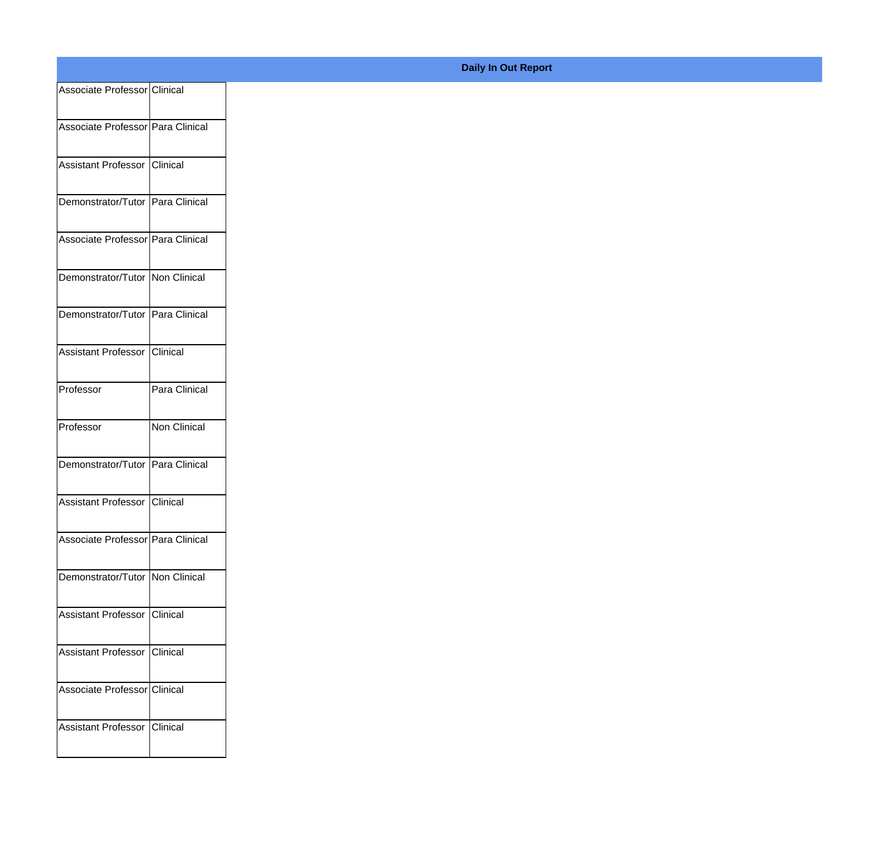| Associate Professor Clinical       |               |
|------------------------------------|---------------|
| Associate Professor Para Clinical  |               |
|                                    |               |
| Assistant Professor Clinical       |               |
| Demonstrator/Tutor Para Clinical   |               |
| Associate Professor Para Clinical  |               |
| Demonstrator/Tutor Non Clinical    |               |
| Demonstrator/Tutor   Para Clinical |               |
| Assistant Professor Clinical       |               |
| Professor                          | Para Clinical |
| Professor                          | Non Clinical  |
| Demonstrator/Tutor Para Clinical   |               |
| Assistant Professor Clinical       |               |
| Associate Professor Para Clinical  |               |
| Demonstrator/Tutor Non Clinical    |               |
| Assistant Professor Clinical       |               |
| Assistant Professor Clinical       |               |
| Associate Professor Clinical       |               |
| Assistant Professor Clinical       |               |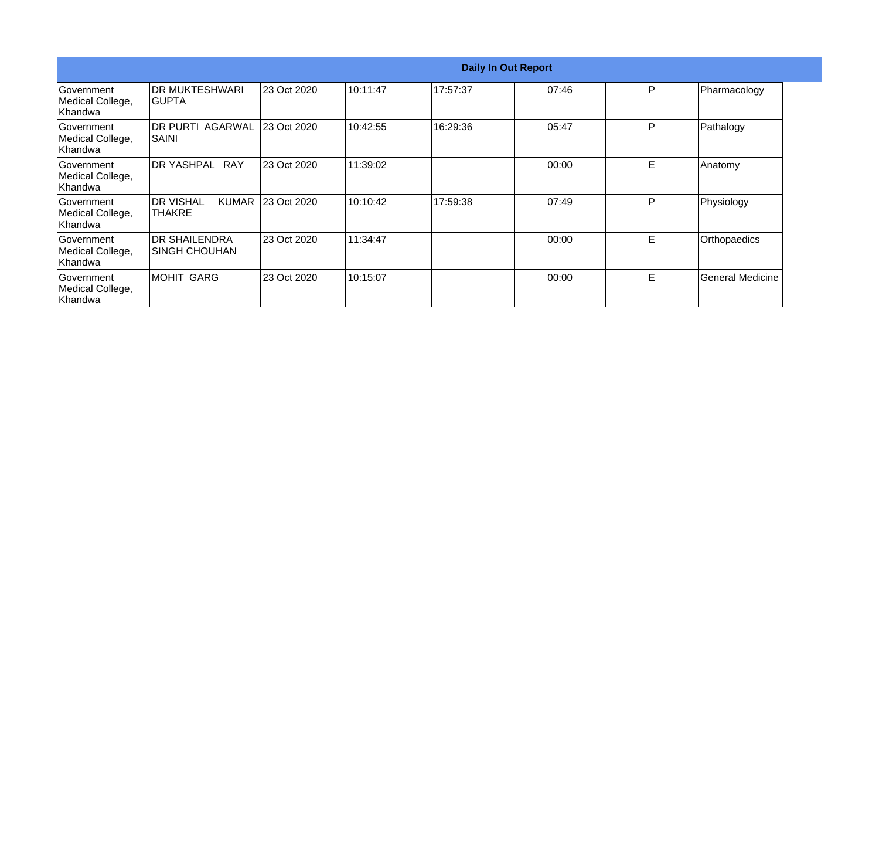|                                                    |                                   |                   |          |          | <b>Daily In Out Report</b> |    |                  |
|----------------------------------------------------|-----------------------------------|-------------------|----------|----------|----------------------------|----|------------------|
| <b>Government</b><br>Medical College,<br> Khandwa  | IDR MUKTESHWARI<br>IGUPTA         | 23 Oct 2020       | 10:11:47 | 17:57:37 | 07:46                      | P  | Pharmacology     |
| Government<br>Medical College,<br>lKhandwa         | IDR PURTI AGARWAL<br><b>SAINI</b> | 23 Oct 2020       | 10:42:55 | 16:29:36 | 05:47                      | P  | Pathalogy        |
| lGovernment<br>Medical College,<br>lKhandwa        | DR YASHPAL RAY                    | 23 Oct 2020       | 11:39:02 |          | 00:00                      | E  | Anatomy          |
| Government<br>Medical College,<br>Khandwa          | <b>I</b> DR VISHAL<br>ITHAKRE     | KUMAR 23 Oct 2020 | 10:10:42 | 17:59:38 | 07:49                      | P  | Physiology       |
| <b>IGovernment</b><br>Medical College,<br>lKhandwa | IDR SHAILENDRA<br>ISINGH CHOUHAN  | 23 Oct 2020       | 11:34:47 |          | 00:00                      | E. | Orthopaedics     |
| Government<br>Medical College,<br>Khandwa          | MOHIT GARG                        | 23 Oct 2020       | 10:15:07 |          | 00:00                      | E  | General Medicine |